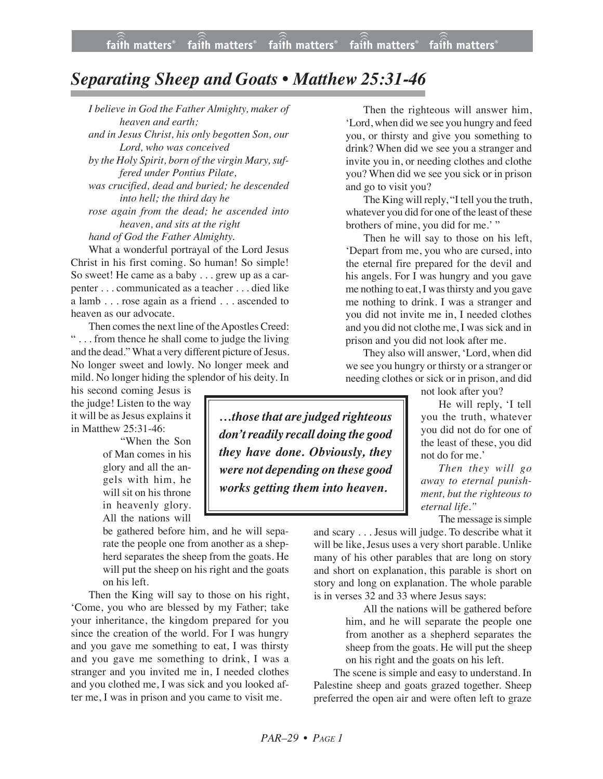## *Separating Sheep and Goats • Matthew 25:31-46*

*I believe in God the Father Almighty, maker of heaven and earth; and in Jesus Christ, his only begotten Son, our Lord, who was conceived by the Holy Spirit, born of the virgin Mary, suffered under Pontius Pilate, was crucified, dead and buried; he descended into hell; the third day he rose again from the dead; he ascended into heaven, and sits at the right hand of God the Father Almighty.*

What a wonderful portrayal of the Lord Jesus Christ in his first coming. So human! So simple! So sweet! He came as a baby . . . grew up as a carpenter . . . communicated as a teacher . . . died like a lamb . . . rose again as a friend . . . ascended to heaven as our advocate.

Then comes the next line of the Apostles Creed: " . . . from thence he shall come to judge the living and the dead." What a very different picture of Jesus. No longer sweet and lowly. No longer meek and mild. No longer hiding the splendor of his deity. In

his second coming Jesus is the judge! Listen to the way it will be as Jesus explains it in Matthew 25:31-46:

> "When the Son of Man comes in his glory and all the angels with him, he will sit on his throne in heavenly glory. All the nations will

be gathered before him, and he will separate the people one from another as a shepherd separates the sheep from the goats. He will put the sheep on his right and the goats on his left.

Then the King will say to those on his right, 'Come, you who are blessed by my Father; take your inheritance, the kingdom prepared for you since the creation of the world. For I was hungry and you gave me something to eat, I was thirsty and you gave me something to drink, I was a stranger and you invited me in, I needed clothes and you clothed me, I was sick and you looked after me, I was in prison and you came to visit me.

Then the righteous will answer him, 'Lord, when did we see you hungry and feed you, or thirsty and give you something to drink? When did we see you a stranger and invite you in, or needing clothes and clothe you? When did we see you sick or in prison and go to visit you?

The King will reply, "I tell you the truth, whatever you did for one of the least of these brothers of mine, you did for me.' "

Then he will say to those on his left, 'Depart from me, you who are cursed, into the eternal fire prepared for the devil and his angels. For I was hungry and you gave me nothing to eat, I was thirsty and you gave me nothing to drink. I was a stranger and you did not invite me in, I needed clothes and you did not clothe me, I was sick and in prison and you did not look after me.

They also will answer, 'Lord, when did we see you hungry or thirsty or a stranger or needing clothes or sick or in prison, and did

not look after you?

He will reply, 'I tell you the truth, whatever you did not do for one of the least of these, you did not do for me.'

*Then they will go away to eternal punishment, but the righteous to eternal life."*

The message is simple

and scary . . . Jesus will judge. To describe what it will be like, Jesus uses a very short parable. Unlike many of his other parables that are long on story and short on explanation, this parable is short on story and long on explanation. The whole parable is in verses 32 and 33 where Jesus says:

> All the nations will be gathered before him, and he will separate the people one from another as a shepherd separates the sheep from the goats. He will put the sheep on his right and the goats on his left.

 The scene is simple and easy to understand. In Palestine sheep and goats grazed together. Sheep preferred the open air and were often left to graze

*…those that are judged righteous don't readily recall doing the good they have done. Obviously, they were not depending on these good works getting them into heaven.*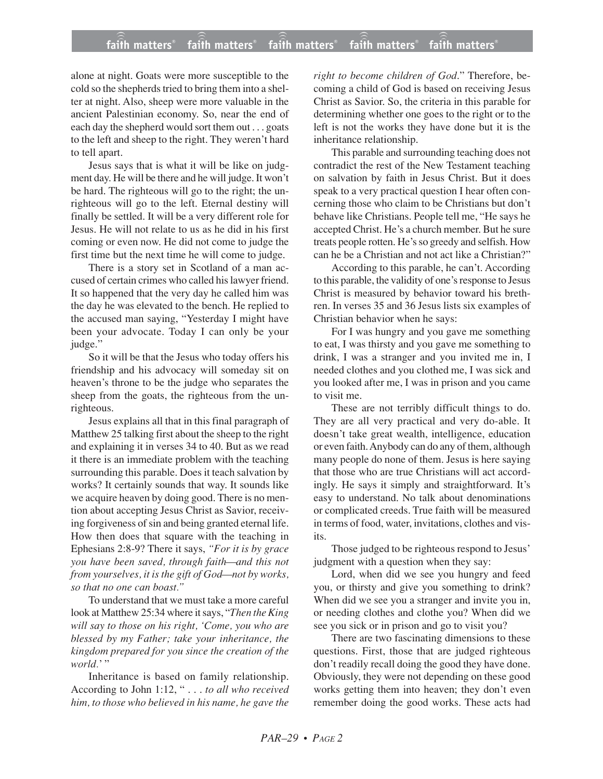## **faith matters® faith matters® faith matters® faith matters® faith matters®** ))) ))) faith matters® faith matters® faith matters

alone at night. Goats were more susceptible to the cold so the shepherds tried to bring them into a shelter at night. Also, sheep were more valuable in the ancient Palestinian economy. So, near the end of each day the shepherd would sort them out . . . goats to the left and sheep to the right. They weren't hard to tell apart.

Jesus says that is what it will be like on judgment day. He will be there and he will judge. It won't be hard. The righteous will go to the right; the unrighteous will go to the left. Eternal destiny will finally be settled. It will be a very different role for Jesus. He will not relate to us as he did in his first coming or even now. He did not come to judge the first time but the next time he will come to judge.

There is a story set in Scotland of a man accused of certain crimes who called his lawyer friend. It so happened that the very day he called him was the day he was elevated to the bench. He replied to the accused man saying, "Yesterday I might have been your advocate. Today I can only be your judge."

So it will be that the Jesus who today offers his friendship and his advocacy will someday sit on heaven's throne to be the judge who separates the sheep from the goats, the righteous from the unrighteous.

Jesus explains all that in this final paragraph of Matthew 25 talking first about the sheep to the right and explaining it in verses 34 to 40. But as we read it there is an immediate problem with the teaching surrounding this parable. Does it teach salvation by works? It certainly sounds that way. It sounds like we acquire heaven by doing good. There is no mention about accepting Jesus Christ as Savior, receiving forgiveness of sin and being granted eternal life. How then does that square with the teaching in Ephesians 2:8-9? There it says, *"For it is by grace you have been saved, through faith—and this not from yourselves, it is the gift of God—not by works, so that no one can boast."*

To understand that we must take a more careful look at Matthew 25:34 where it says, "*Then the King will say to those on his right, 'Come, you who are blessed by my Father; take your inheritance, the kingdom prepared for you since the creation of the world.*'"

Inheritance is based on family relationship. According to John 1:12, " . . . *to all who received him, to those who believed in his name, he gave the* *right to become children of God*." Therefore, becoming a child of God is based on receiving Jesus Christ as Savior. So, the criteria in this parable for determining whether one goes to the right or to the left is not the works they have done but it is the inheritance relationship.

This parable and surrounding teaching does not contradict the rest of the New Testament teaching on salvation by faith in Jesus Christ. But it does speak to a very practical question I hear often concerning those who claim to be Christians but don't behave like Christians. People tell me, "He says he accepted Christ. He's a church member. But he sure treats people rotten. He's so greedy and selfish. How can he be a Christian and not act like a Christian?"

According to this parable, he can't. According to this parable, the validity of one's response to Jesus Christ is measured by behavior toward his brethren. In verses 35 and 36 Jesus lists six examples of Christian behavior when he says:

For I was hungry and you gave me something to eat, I was thirsty and you gave me something to drink, I was a stranger and you invited me in, I needed clothes and you clothed me, I was sick and you looked after me, I was in prison and you came to visit me.

These are not terribly difficult things to do. They are all very practical and very do-able. It doesn't take great wealth, intelligence, education or even faith. Anybody can do any of them, although many people do none of them. Jesus is here saying that those who are true Christians will act accordingly. He says it simply and straightforward. It's easy to understand. No talk about denominations or complicated creeds. True faith will be measured in terms of food, water, invitations, clothes and visits.

Those judged to be righteous respond to Jesus' judgment with a question when they say:

Lord, when did we see you hungry and feed you, or thirsty and give you something to drink? When did we see you a stranger and invite you in, or needing clothes and clothe you? When did we see you sick or in prison and go to visit you?

There are two fascinating dimensions to these questions. First, those that are judged righteous don't readily recall doing the good they have done. Obviously, they were not depending on these good works getting them into heaven; they don't even remember doing the good works. These acts had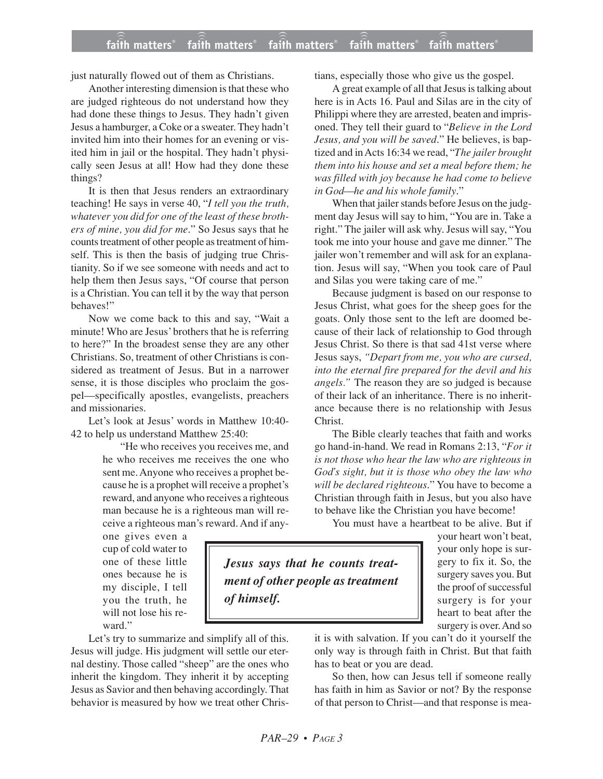## **faith matters® faith matters® faith matters® faith matters® faith matters®** ))) ))) faith matters® faith matters<sup>®</sup> faith matters

just naturally flowed out of them as Christians.

Another interesting dimension is that these who are judged righteous do not understand how they had done these things to Jesus. They hadn't given Jesus a hamburger, a Coke or a sweater. They hadn't invited him into their homes for an evening or visited him in jail or the hospital. They hadn't physically seen Jesus at all! How had they done these things?

It is then that Jesus renders an extraordinary teaching! He says in verse 40, "*I tell you the truth, whatever you did for one of the least of these brothers of mine, you did for me*." So Jesus says that he counts treatment of other people as treatment of himself. This is then the basis of judging true Christianity. So if we see someone with needs and act to help them then Jesus says, "Of course that person is a Christian. You can tell it by the way that person behaves!"

Now we come back to this and say, "Wait a minute! Who are Jesus' brothers that he is referring to here?" In the broadest sense they are any other Christians. So, treatment of other Christians is considered as treatment of Jesus. But in a narrower sense, it is those disciples who proclaim the gospel—specifically apostles, evangelists, preachers and missionaries.

Let's look at Jesus' words in Matthew 10:40- 42 to help us understand Matthew 25:40:

> "He who receives you receives me, and he who receives me receives the one who sent me. Anyone who receives a prophet because he is a prophet will receive a prophet's reward, and anyone who receives a righteous man because he is a righteous man will receive a righteous man's reward. And if any-

one gives even a cup of cold water to one of these little ones because he is my disciple, I tell you the truth, he will not lose his reward."

Let's try to summarize and simplify all of this. Jesus will judge. His judgment will settle our eternal destiny. Those called "sheep" are the ones who inherit the kingdom. They inherit it by accepting Jesus as Savior and then behaving accordingly. That behavior is measured by how we treat other Christians, especially those who give us the gospel.

A great example of all that Jesus is talking about here is in Acts 16. Paul and Silas are in the city of Philippi where they are arrested, beaten and imprisoned. They tell their guard to "*Believe in the Lord Jesus, and you will be saved*." He believes, is baptized and in Acts 16:34 we read, "*The jailer brought them into his house and set a meal before them; he was filled with joy because he had come to believe in God—he and his whole family*."

When that jailer stands before Jesus on the judgment day Jesus will say to him, "You are in. Take a right." The jailer will ask why. Jesus will say, "You took me into your house and gave me dinner." The jailer won't remember and will ask for an explanation. Jesus will say, "When you took care of Paul and Silas you were taking care of me."

Because judgment is based on our response to Jesus Christ, what goes for the sheep goes for the goats. Only those sent to the left are doomed because of their lack of relationship to God through Jesus Christ. So there is that sad 41st verse where Jesus says, *"Depart from me, you who are cursed, into the eternal fire prepared for the devil and his angels."* The reason they are so judged is because of their lack of an inheritance. There is no inheritance because there is no relationship with Jesus Christ.

The Bible clearly teaches that faith and works go hand-in-hand. We read in Romans 2:13, "*For it is not those who hear the law who are righteous in God's sight, but it is those who obey the law who will be declared righteous*." You have to become a Christian through faith in Jesus, but you also have to behave like the Christian you have become!

You must have a heartbeat to be alive. But if

*Jesus says that he counts treatment of other people as treatment of himself.*

your heart won't beat, your only hope is surgery to fix it. So, the surgery saves you. But the proof of successful surgery is for your heart to beat after the surgery is over. And so

it is with salvation. If you can't do it yourself the only way is through faith in Christ. But that faith has to beat or you are dead.

So then, how can Jesus tell if someone really has faith in him as Savior or not? By the response of that person to Christ—and that response is mea-